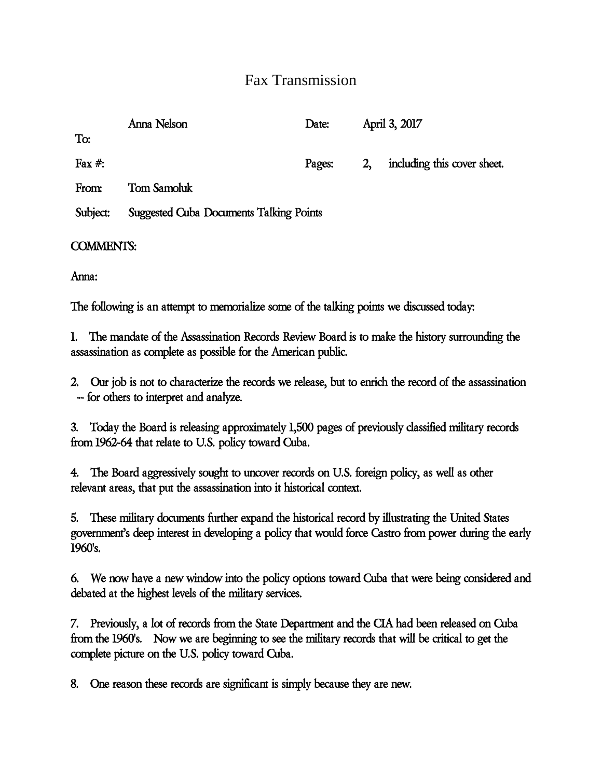## Fax Transmission

|            | Anna Nelson                                    | Date:  | April 3, 2017  |                             |
|------------|------------------------------------------------|--------|----------------|-----------------------------|
| To:        |                                                |        |                |                             |
| Fax $\#$ : |                                                | Pages: | 2 <sub>1</sub> | including this cover sheet. |
| From:      | <b>Tom Samoluk</b>                             |        |                |                             |
| Subject:   | <b>Suggested Cuba Documents Talking Points</b> |        |                |                             |
|            |                                                |        |                |                             |

COMMENTS:

Anna:

The following is an attempt to memorialize some of the talking points we discussed today:

1. The mandate of the Assassination Records Review Board is to make the history surrounding the assassination as complete as possible for the American public.

2. Our job is not to characterize the records we release, but to enrich the record of the assassination -- for others to interpret and analyze.

3. Today the Board is releasing approximately 1,500 pages of previously classified military records from 1962-64 that relate to U.S. policy toward Cuba.

4. The Board aggressively sought to uncover records on U.S. foreign policy, as well as other relevant areas, that put the assassination into it historical context.

5. These military documents further expand the historical record by illustrating the United States government's deep interest in developing a policy that would force Castro from power during the early 1960's.

6. We now have a new window into the policy options toward Cuba that were being considered and debated at the highest levels of the military services.

7. Previously, a lot of records from the State Department and the CIA had been released on Cuba from the 1960's. Now we are beginning to see the military records that will be critical to get the complete picture on the U.S. policy toward Cuba.

8. One reason these records are significant is simply because they are new.